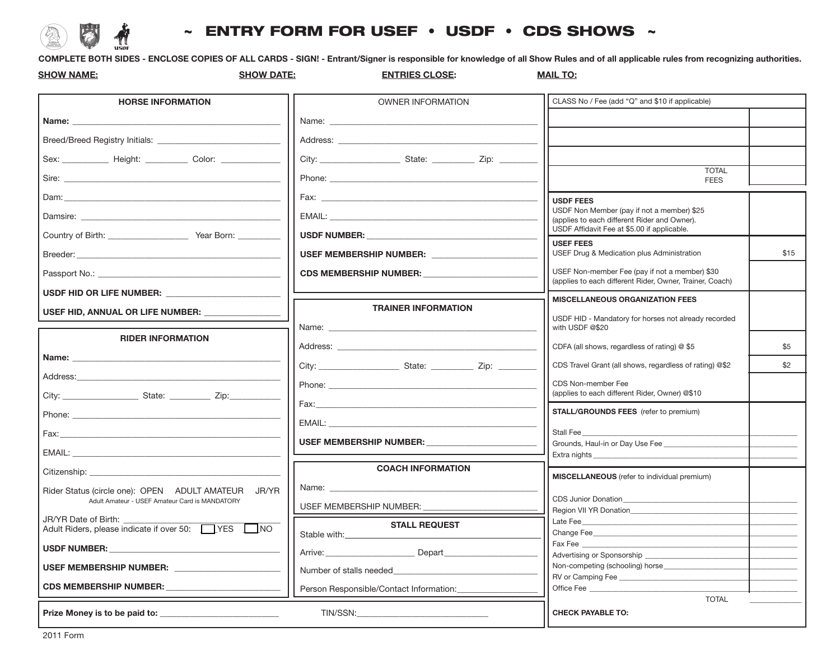## $\sim$  ENTRY FORM FOR USEF  $\cdot$  USDF  $\cdot$  CDS SHOWS  $\sim$

**COMPLETE BOTH SIDES - ENCLOSE COPIES OF ALL CARDS - SIGN! - Entrant/Signer is responsible for knowledge of all Show Rules and of all applicable rules from recognizing authorities.**

| <b>SHOW NAME:</b>                                                                                                                                                                                                              | <b>SHOW DATE:</b><br><b>ENTRIES CLOSE:</b>                                                                                                                                                                                     | <b>MAIL TO:</b>                                                                                            |  |
|--------------------------------------------------------------------------------------------------------------------------------------------------------------------------------------------------------------------------------|--------------------------------------------------------------------------------------------------------------------------------------------------------------------------------------------------------------------------------|------------------------------------------------------------------------------------------------------------|--|
| <b>HORSE INFORMATION</b>                                                                                                                                                                                                       | <b>OWNER INFORMATION</b>                                                                                                                                                                                                       | CLASS No / Fee (add "Q" and \$10 if applicable)                                                            |  |
|                                                                                                                                                                                                                                | Name: Name                                                                                                                                                                                                                     |                                                                                                            |  |
|                                                                                                                                                                                                                                | Address: Note and the set of the set of the set of the set of the set of the set of the set of the set of the set of the set of the set of the set of the set of the set of the set of the set of the set of the set of the se |                                                                                                            |  |
| Sex: ______________ Height: ____________ Color: _____________                                                                                                                                                                  |                                                                                                                                                                                                                                |                                                                                                            |  |
|                                                                                                                                                                                                                                |                                                                                                                                                                                                                                | <b>TOTAL</b><br><b>FEES</b>                                                                                |  |
|                                                                                                                                                                                                                                |                                                                                                                                                                                                                                | <b>USDF FEES</b>                                                                                           |  |
| Damsire: the contract of the contract of the contract of the contract of the contract of the contract of the contract of the contract of the contract of the contract of the contract of the contract of the contract of the c |                                                                                                                                                                                                                                | USDF Non Member (pay if not a member) \$25<br>(applies to each different Rider and Owner).                 |  |
| Country of Birth: Vear Born: Vear Born:                                                                                                                                                                                        | USDF NUMBER: USDF NUMBER:                                                                                                                                                                                                      | USDF Affidavit Fee at \$5.00 if applicable.<br><b>USEF FEES</b>                                            |  |
|                                                                                                                                                                                                                                | USEF MEMBERSHIP NUMBER: ____________                                                                                                                                                                                           | USEF Drug & Medication plus Administration<br>\$15                                                         |  |
|                                                                                                                                                                                                                                | CDS MEMBERSHIP NUMBER: CDS MEMBERSHIP NUMBER:                                                                                                                                                                                  | USEF Non-member Fee (pay if not a member) \$30<br>(applies to each different Rider, Owner, Trainer, Coach) |  |
|                                                                                                                                                                                                                                |                                                                                                                                                                                                                                | <b>MISCELLANEOUS ORGANIZATION FEES</b>                                                                     |  |
| USEF HID, ANNUAL OR LIFE NUMBER: _                                                                                                                                                                                             | <b>TRAINER INFORMATION</b>                                                                                                                                                                                                     | USDF HID - Mandatory for horses not already recorded                                                       |  |
| <b>RIDER INFORMATION</b>                                                                                                                                                                                                       | Name: will be a series of the contract of the contract of the contract of the contract of the contract of the contract of the contract of the contract of the contract of the contract of the contract of the contract of the  | with USDF @\$20                                                                                            |  |
| Name: _________________________                                                                                                                                                                                                |                                                                                                                                                                                                                                | CDFA (all shows, regardless of rating) @ \$5<br>\$5                                                        |  |
|                                                                                                                                                                                                                                |                                                                                                                                                                                                                                | CDS Travel Grant (all shows, regardless of rating) @\$2<br>\$2                                             |  |
| Address: Analysis and the control of the control of the control of the control of the control of the control of the control of the control of the control of the control of the control of the control of the control of the c |                                                                                                                                                                                                                                | CDS Non-member Fee<br>(applies to each different Rider, Owner) @\$10                                       |  |
|                                                                                                                                                                                                                                |                                                                                                                                                                                                                                | <b>STALL/GROUNDS FEES</b> (refer to premium)                                                               |  |
|                                                                                                                                                                                                                                | EMAIL: EMAIL: EMAIL: EMAIL: EMAIL: EMAIL: EMAIL: EMAIL: EMAIL: EMAIL: EMAIL: EMAIL: EMAIL: EMAIL: EMAIL: EMAIL: EMAIL: EMAIL: EMAIL: EMAIL: EMAIL: EMAIL: EMAIL: EMAIL: EMAIL: EMAIL: EMAIL: EMAIL: EMAIL: EMAIL: EMAIL: EMAIL | Stall Fee                                                                                                  |  |
|                                                                                                                                                                                                                                | USEF MEMBERSHIP NUMBER: USEF MEMBERSHIP NUMBER:                                                                                                                                                                                | Grounds, Haul-in or Day Use Fee                                                                            |  |
| EMAIL: EMAIL:                                                                                                                                                                                                                  |                                                                                                                                                                                                                                | Extra nights_                                                                                              |  |
| Citizenship: National Communication of the Communication of the Communication of the Communication of the Communication of the Communication of the Communication of the Communication of the Communication of the Communicati | <b>COACH INFORMATION</b>                                                                                                                                                                                                       | MISCELLANEOUS (refer to individual premium)                                                                |  |
| Rider Status (circle one): OPEN ADULT AMATEUR JR/YR<br>Adult Amateur - USEF Amateur Card is MANDATORY                                                                                                                          | Name: will be a series of the contract of the contract of the contract of the contract of the contract of the contract of the contract of the contract of the contract of the contract of the contract of the contract of the  | <b>CDS Junior Donation</b>                                                                                 |  |
| JR/YR Date of Birth:                                                                                                                                                                                                           | USEF MEMBERSHIP NUMBER:                                                                                                                                                                                                        | Region VII YR Donation_                                                                                    |  |
| Adult Riders, please indicate if over 50: TWES                                                                                                                                                                                 | <b>STALL REQUEST</b><br>$\Box$ NO<br>Stable with:                                                                                                                                                                              | Late Fee<br>Change Fee                                                                                     |  |
| USDF NUMBER: The contract of the contract of the contract of the contract of the contract of the contract of the contract of the contract of the contract of the contract of the contract of the contract of the contract of t |                                                                                                                                                                                                                                | Fax Fee<br>Advertising or Sponsorship                                                                      |  |
| USEF MEMBERSHIP NUMBER: USEF MEMBERSHIP NUMBER                                                                                                                                                                                 | Number of stalls needed Number of stalls needed                                                                                                                                                                                | Non-competing (schooling) horse                                                                            |  |
| <b>CDS MEMBERSHIP NUMBER:</b>                                                                                                                                                                                                  | Person Responsible/Contact Information:                                                                                                                                                                                        | RV or Camping Fee<br>Office Fee                                                                            |  |
|                                                                                                                                                                                                                                |                                                                                                                                                                                                                                | <b>TOTAL</b>                                                                                               |  |
| Prize Money is to be paid to:                                                                                                                                                                                                  | TIN/SSN:                                                                                                                                                                                                                       | <b>CHECK PAYABLE TO:</b>                                                                                   |  |

2011 Form